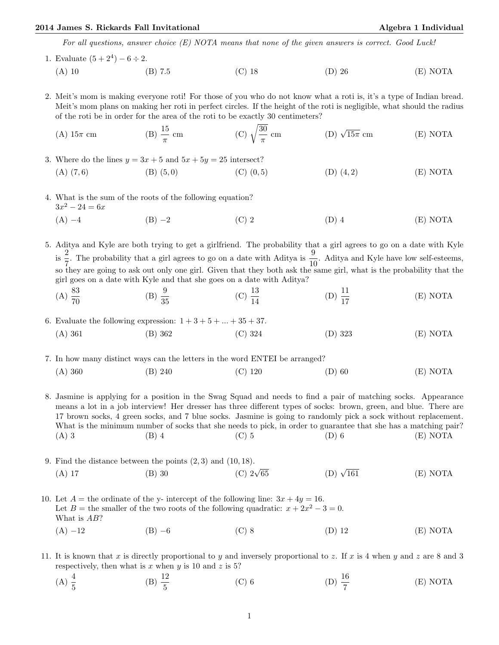## 2014 James S. Rickards Fall Invitational Algebra 1 Individual Algebra 1 Individual

For all questions, answer choice (E) NOTA means that none of the given answers is correct. Good Luck!

1. Evaluate  $(5+2^4) - 6 \div 2$ . (A) 10 (B) 7.5 (C) 18 (D) 26 (E) NOTA

2. Meit's mom is making everyone roti! For those of you who do not know what a roti is, it's a type of Indian bread. Meit's mom plans on making her roti in perfect circles. If the height of the roti is negligible, what should the radius of the roti be in order for the area of the roti to be exactly 30 centimeters?

(A) 
$$
15\pi
$$
 cm \t\t (B)  $\frac{15}{\pi}$  cm \t\t (C)  $\sqrt{\frac{30}{\pi}}$  cm \t\t (D)  $\sqrt{15\pi}$  cm \t\t (E) NOTA

3. Where do the lines  $y = 3x + 5$  and  $5x + 5y = 25$  intersect? (A) (7, 6) (B) (5, 0) (C) (0, 5) (D) (4, 2) (E) NOTA

- 4. What is the sum of the roots of the following equation?  $3x^2 - 24 = 6x$ 
	- (A) −4 (B) −2 (C) 2 (D) 4 (E) NOTA

5. Aditya and Kyle are both trying to get a girlfriend. The probability that a girl agrees to go on a date with Kyle  $\frac{2}{5}$  $\frac{2}{7}$ . The probability that a girl agrees to go on a date with Aditya is  $\frac{9}{10}$ . Aditya and Kyle have low self-esteems, so they are going to ask out only one girl. Given that they both ask the same girl, what is the probability that the girl goes on a date with Kyle and that she goes on a date with Aditya?

- $(A) \frac{83}{70}$ (B)  $\frac{9}{35}$ (C)  $\frac{13}{14}$ (D)  $\frac{11}{17}$ (E) NOTA
- 6. Evaluate the following expression:  $1+3+5+...+35+37$ . (A) 361 (B) 362 (C) 324 (D) 323 (E) NOTA

7. In how many distinct ways can the letters in the word ENTEI be arranged?

(A) 360 (B) 240 (C) 120 (D) 60 (E) NOTA

8. Jasmine is applying for a position in the Swag Squad and needs to find a pair of matching socks. Appearance means a lot in a job interview! Her dresser has three different types of socks: brown, green, and blue. There are 17 brown socks, 4 green socks, and 7 blue socks. Jasmine is going to randomly pick a sock without replacement. What is the minimum number of socks that she needs to pick, in order to guarantee that she has a matching pair? (A) 3 (B) 4 (C) 5 (D) 6 (E) NOTA

- 9. Find the distance between the points  $(2,3)$  and  $(10, 18)$ .<br>
(A) 17 (B) 30 (C)  $2\sqrt{ }$ (C)  $2\sqrt{65}$  (D)  $\sqrt{161}$  $(E)$  NOTA
- 10. Let  $A =$  the ordinate of the y- intercept of the following line:  $3x + 4y = 16$ . Let  $B =$  the smaller of the two roots of the following quadratic:  $x + 2x^2 - 3 = 0$ . What is AB? (A) −12 (B) −6 (C) 8 (D) 12 (E) NOTA
- 11. It is known that x is directly proportional to y and inversely proportional to z. If x is 4 when y and z are 8 and 3 respectively, then what is  $x$  when  $y$  is 10 and  $z$  is 5?
	- (A)  $\frac{4}{5}$ (B)  $\frac{12}{5}$ (C) 6 (D)  $\frac{16}{7}$ (E) NOTA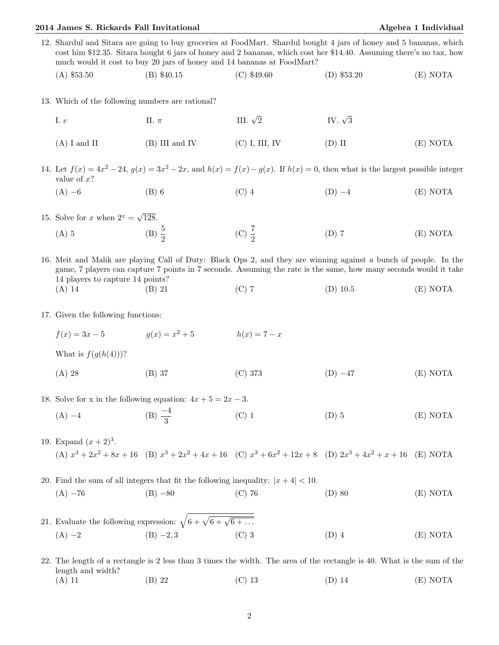## 2014 James S. Rickards Fall Invitational Algebra 1 Individual

12. Shardul and Sitara are going to buy groceries at FoodMart. Shardul bought 4 jars of honey and 5 bananas, which cost him \$12.35. Sitara bought 6 jars of honey and 2 bananas, which cost her \$14.40. Assuming there's no tax, how much would it cost to buy 20 jars of honey and 14 bananas at FoodMart?

(A) \$53.50 (B) \$40.15 (C) \$49.60 (D) \$53.20 (E) NOTA

13. Which of the following numbers are rational?

| I. e           | $\Pi$ . $\pi$  | III. $\sqrt{2}$ | IV. $\sqrt{3}$ |          |
|----------------|----------------|-----------------|----------------|----------|
| $(A)$ I and II | (B) III and IV | (C) I, III, IV  | $(D)$ II       | (E) NOTA |

- 14. Let  $f(x) = 4x^2 24$ ,  $g(x) = 3x^2 2x$ , and  $h(x) = f(x) g(x)$ . If  $h(x) = 0$ , then what is the largest possible integer value of  $x$ ?
	- (A) −6 (B) 6 (C) 4 (D) −4 (E) NOTA
- 15. Solve for x when  $2^x = \sqrt{ }$ 128. (A) 5 (B)  $\frac{5}{2}$ (C)  $\frac{7}{2}$ (D) 7 (E) NOTA

16. Meit and Malik are playing Call of Duty: Black Ops 2, and they are winning against a bunch of people. In the game, 7 players can capture 7 points in 7 seconds. Assuming the rate is the same, how many seconds would it take 14 players to capture 14 points? (A) 14 (B) 21 (C) 7 (D) 10.5 (E) NOTA

- 17. Given the following functions:
	- $f(x) = 3x 5$   $q(x) = x^2 + 5$  $h(x) = 7 - x$

What is  $f(g(h(4)))$ ?

(A) 28 (B) 37 (C) 373 (D) −47 (E) NOTA

18. Solve for x in the following equation:  $4x + 5 = 2x - 3$ .

- (A)  $-4$  (B)  $\frac{-4}{3}$ (C) 1  $(D) 5$  (E) NOTA
- 19. Expand  $(x + 2)^3$ . (A)  $x^3 + 2x^2 + 8x + 16$  (B)  $x^3 + 2x^2 + 4x + 16$  (C)  $x^3 + 6x^2 + 12x + 8$  (D)  $2x^3 + 4x^2 + x + 16$  (E) NOTA

20. Find the sum of all integers that fit the following inequality:  $|x+4| < 10$ . (A) −76 (B) −80 (C) 76 (D) 80 (E) NOTA

21. Evaluate the following expression: 
$$
\sqrt{6 + \sqrt{6 + \sqrt{6 + \dots}}}
$$
  
(A) -2 (B) -2,3 (C) 3 (D) 4 (E) NOTA

22. The length of a rectangle is 2 less than 3 times the width. The area of the rectangle is 40. What is the sum of the length and width? (A) 11 (B) 22 (C) 13 (D) 14 (E) NOTA